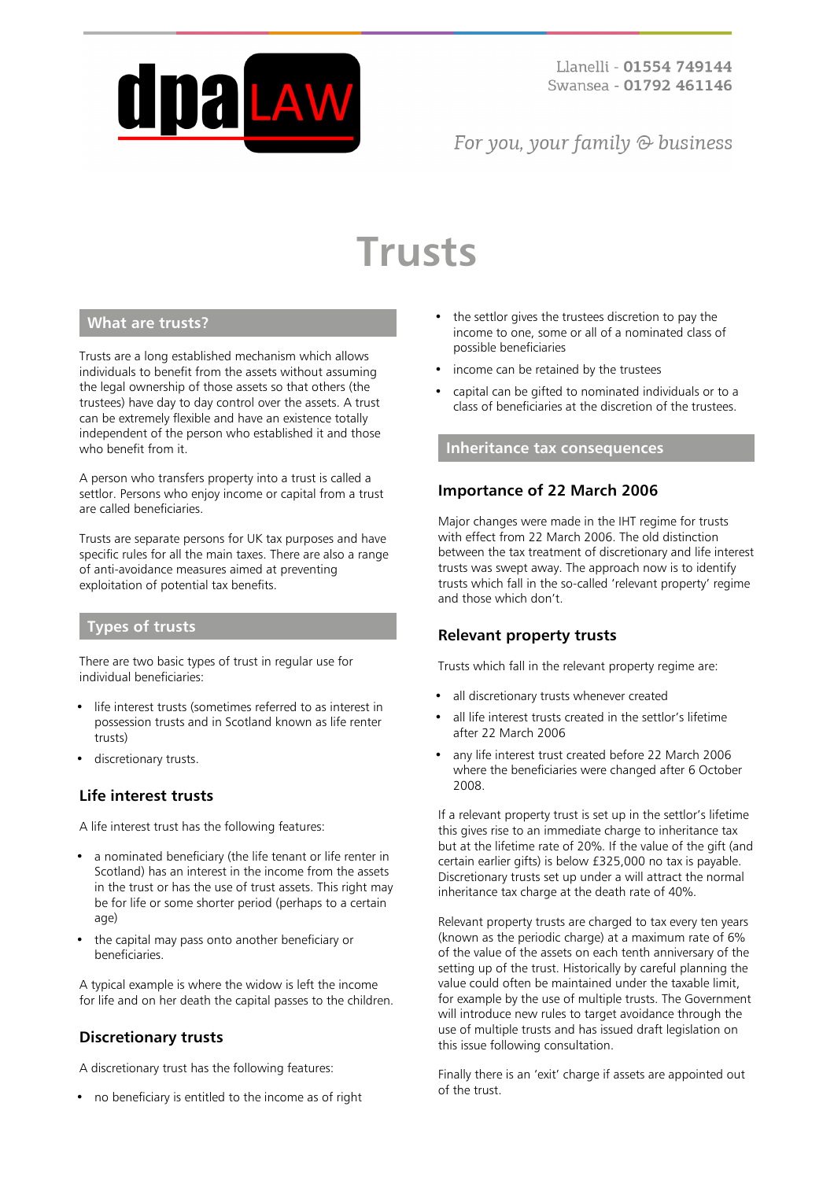

# For you, your family  $\odot$  business

# **Trusts**

# **What are trusts?**

Trusts are a long established mechanism which allows individuals to benefit from the assets without assuming the legal ownership of those assets so that others (the trustees) have day to day control over the assets. A trust can be extremely flexible and have an existence totally independent of the person who established it and those who benefit from it.

A person who transfers property into a trust is called a settlor. Persons who enjoy income or capital from a trust are called beneficiaries.

Trusts are separate persons for UK tax purposes and have specific rules for all the main taxes. There are also a range of anti-avoidance measures aimed at preventing exploitation of potential tax benefits.

#### **Types of trusts**

There are two basic types of trust in regular use for individual beneficiaries:

- life interest trusts (sometimes referred to as interest in possession trusts and in Scotland known as life renter trusts)
- discretionary trusts.

# **Life interest trusts**

A life interest trust has the following features:

- a nominated beneficiary (the life tenant or life renter in Scotland) has an interest in the income from the assets in the trust or has the use of trust assets. This right may be for life or some shorter period (perhaps to a certain age)
- the capital may pass onto another beneficiary or beneficiaries.

A typical example is where the widow is left the income for life and on her death the capital passes to the children.

#### **Discretionary trusts**

A discretionary trust has the following features:

• no beneficiary is entitled to the income as of right

- the settlor gives the trustees discretion to pay the income to one, some or all of a nominated class of possible beneficiaries
- income can be retained by the trustees
- capital can be gifted to nominated individuals or to a class of beneficiaries at the discretion of the trustees.

#### **Inheritance tax consequences**

# **Importance of 22 March 2006**

Major changes were made in the IHT regime for trusts with effect from 22 March 2006. The old distinction between the tax treatment of discretionary and life interest trusts was swept away. The approach now is to identify trusts which fall in the so-called 'relevant property' regime and those which don't.

#### **Relevant property trusts**

Trusts which fall in the relevant property regime are:

- all discretionary trusts whenever created
- all life interest trusts created in the settlor's lifetime after 22 March 2006
- any life interest trust created before 22 March 2006 where the beneficiaries were changed after 6 October 2008.

If a relevant property trust is set up in the settlor's lifetime this gives rise to an immediate charge to inheritance tax but at the lifetime rate of 20%. If the value of the gift (and certain earlier gifts) is below £325,000 no tax is payable. Discretionary trusts set up under a will attract the normal inheritance tax charge at the death rate of 40%.

Relevant property trusts are charged to tax every ten years (known as the periodic charge) at a maximum rate of 6% of the value of the assets on each tenth anniversary of the setting up of the trust. Historically by careful planning the value could often be maintained under the taxable limit, for example by the use of multiple trusts. The Government will introduce new rules to target avoidance through the use of multiple trusts and has issued draft legislation on this issue following consultation.

Finally there is an 'exit' charge if assets are appointed out of the trust.